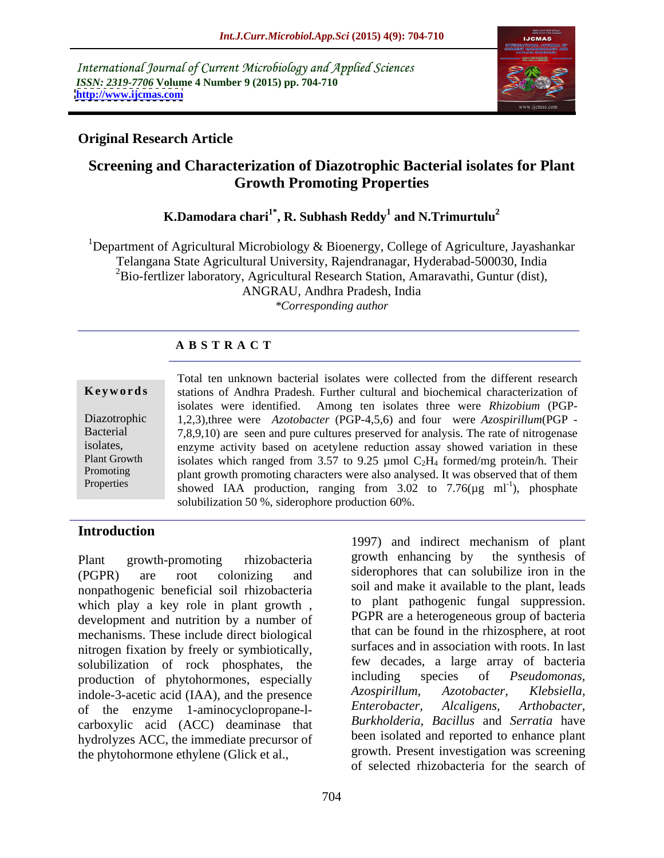International Journal of Current Microbiology and Applied Sciences *ISSN: 2319-7706* **Volume 4 Number 9 (2015) pp. 704-710 <http://www.ijcmas.com>**



# **Original Research Article**

# **Screening and Characterization of Diazotrophic Bacterial isolates for Plant Growth Promoting Properties**

### $\bold{K.Damodara~chari}^{1*}, \bold{R.~Subhash~Reddy}^{1}$  and  $\bold{N.Trimurtulu}^{2}$ **and N.Trimurtulu<sup>2</sup>**

<sup>1</sup>Department of Agricultural Microbiology & Bioenergy, College of Agriculture, Jayashankar Telangana State Agricultural University, Rajendranagar, Hyderabad-500030, India  ${}^{2}$ Bio-fertlizer laboratory, Agricultural Research Station, Amaravathi, Guntur (dist), ANGRAU, Andhra Pradesh, India *\*Corresponding author*

# **A B S T R A C T**

|                         | Total ten unknown bacterial isolates were collected from the different research            |  |  |  |
|-------------------------|--------------------------------------------------------------------------------------------|--|--|--|
|                         | Keywords stations of Andhra Pradesh. Further cultural and biochemical characterization of  |  |  |  |
|                         | isolates were identified. Among ten isolates three were Rhizobium (PGP-                    |  |  |  |
| Diazotrophic            | 1,2,3), three were <i>Azotobacter</i> (PGP-4,5,6) and four were <i>Azospirillum</i> (PGP - |  |  |  |
| Bacterial               | 7,8,9,10) are seen and pure cultures preserved for analysis. The rate of nitrogenase       |  |  |  |
| isolates,               | enzyme activity based on acetylene reduction assay showed variation in these               |  |  |  |
| Plant Growth            | isolates which ranged from 3.57 to 9.25 µmol $C_2H_4$ formed/mg protein/h. Their           |  |  |  |
| Promoting<br>Properties | plant growth promoting characters were also analysed. It was observed that of them         |  |  |  |
|                         | showed IAA production, ranging from 3.02 to 7.76( $\mu$ g ml <sup>-1</sup> ), phosphate    |  |  |  |
|                         | solubilization 50 %, siderophore production 60%.                                           |  |  |  |

Plant growth-promoting rhizobacteria a growth enhancing by the synthesis of (PGPR) are root colonizing and siderophores that can solubilize iron in the nonpathogenic beneficial soil rhizobacteria which play a key role in plant growth , development and nutrition by a number of mechanisms. These include direct biological nitrogen fixation by freely or symbiotically, solubilization of rock phosphates, the tew decades, a large array of bacteria<br>production of phytohormones especially including species of *Pseudomonas*, production of phytohormones, especially including species of *Pseudomonas*,<br>indole-3-acetic acid (IAA) and the presence *Azospirillum*, *Azotobacter*, *Klebsiella*, indole-3-acetic acid (IAA), and the presence *Azospirillum*, *Azotobacter*, *Klebsiella*, of the enzyme 1-aminocyclopropane-1- *Enterobacter*, *Alcaligens*, *Arthobacter*, of the enzyme 1-aminocyclopropane-l carboxylic acid (ACC) deaminase that hydrolyzes ACC, the immediate precursor of the phytohormone ethylene (Glick et al.,

**Introduction** 1997) and indirect mechanism of plant growth enhancing by the synthesis of soil and make it available to the plant, leads to plant pathogenic fungal suppression. PGPR are a heterogeneous group of bacteria that can be found in the rhizosphere, at root surfaces and in association with roots. In last few decades, a large array of bacteria including species of *Pseudomonas, Azospirillum, Azotobacter, Klebsiella, Enterobacter, Alcaligens, Arthobacter, Burkholderia, Bacillus* and *Serratia* have been isolated and reported to enhance plant growth. Present investigation was screening of selected rhizobacteria for the search of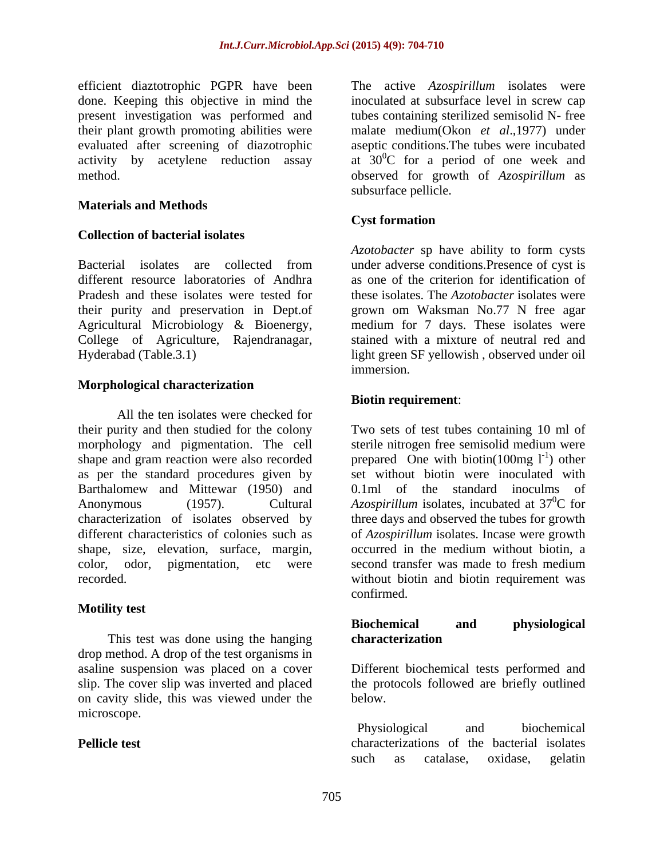done. Keeping this objective in mind the present investigation was performed and

### **Materials and Methods**

### **Collection of bacterial isolates**

Bacterial isolates are collected from under adverse conditions. Presence of cyst is different resource laboratories of Andhra as one of the criterion for identification of Pradesh and these isolates were tested for these isolates. The *Azotobacter* isolates were their purity and preservation in Dept.of grown om Waksman No.77 N free agar Agricultural Microbiology & Bioenergy, medium for 7 days. These isolates were College of Agriculture, Rajendranagar, Hyderabad (Table.3.1) light green SF yellowish , observed under oil

### **Morphological characterization**

All the ten isolates were checked for their purity and then studied for the colony Two sets of test tubes containing 10 ml of morphology and pigmentation. The cell shape and gram reaction were also recorded prepared One with biotin(100mg  $1^{-1}$ ) other as per the standard procedures given by Barthalomew and Mittewar (1950) and Anonymous (1957). Cultural *Azospirillum* isolates, incubated at 37<sup>o</sup>C for characterization of isolates observed by three days and observed the tubes for growth different characteristics of colonies such as shape, size, elevation, surface, margin, color, odor, pigmentation, etc were second transfer was made to fresh medium recorded. without biotin and biotin requirement was

### **Motility test**

This test was done using the hanging characterization drop method. A drop of the test organisms in asaline suspension was placed on a cover Different biochemical tests performed and slip. The cover slip was inverted and placed the protocols followed are briefly outlined on cavity slide, this was viewed under the microscope.

efficient diaztotrophic PGPR have been The active *Azospirillum* isolates were their plant growth promoting abilities were malate medium(Okon *et al*.,1977) under evaluated after screening of diazotrophic aseptic conditions.The tubes were incubated activity by acetylene reduction assay at  $30^{\circ}$ C for a period of one week and method. observed for growth of *Azospirillum* as inoculated at subsurface level in screw cap tubes containing sterilized semisolid N-free subsurface pellicle.

### **Cyst formation**

*Azotobacter* sp have ability to form cysts under adverse conditions.Presence of cyst is stained with a mixture of neutral red and immersion.

### **Biotin requirement**:

sterile nitrogen free semisolid medium were ) other set without biotin were inoculated with  $0.1$ ml of the standard inoculms of  ${}^{0}C$  for of *Azospirillum* isolates. Incase were growth occurred in the medium without biotin, a second transfer was made to fresh medium confirmed.

### **Biochemical and physiological characterization**

below.

**Pellicle test existed characterizations** of the bacterial isolates Physiological and biochemical such as catalase, oxidase, gelatin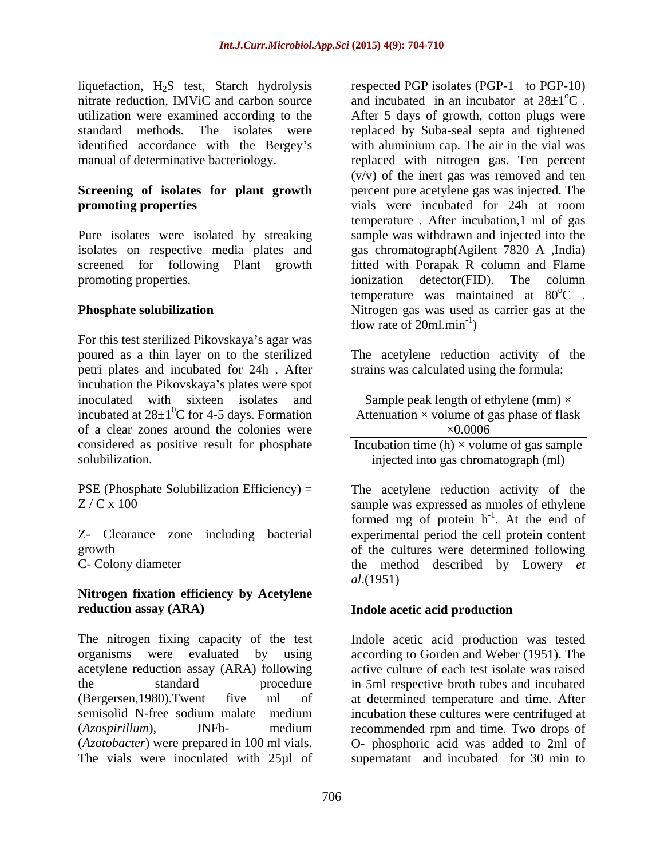liquefaction, H2S test, Starch hydrolysis nitrate reduction, IMViC and carbon source

promoting properties. The column ionization detector (FID). The column

For this test sterilized Pikovskaya's agar was poured as a thin layer on to the sterilized The acetylene reduction activity of the petri plates and incubated for 24h . After incubation the Pikovskaya's plates were spot inoculated with sixteen isolates and incubated at  $28\pm1\textsuperscript{0}$ C for 4-5 days. Formation of a clear zones around the colonies were  $\times 0.0006$ considered as positive result for phosphate

PSE (Phosphate Solubilization Efficiency) = The acetylene reduction activity of the

## **Nitrogen fixation efficiency by Acetylene reduction assay (ARA) Indole acetic acid production**

The nitrogen fixing capacity of the test (*Azotobacter*) were prepared in 100 ml vials. The vials were inoculated with 25µl of supernatant and incubated for 30 min to

utilization were examined according to the After 5 days of growth, cotton plugs were standard methods. The isolates were replaced by Suba-seal septa and tightened identified accordance with the Bergey s with aluminium cap. The air in the vial was manual of determinative bacteriology. The replaced with nitrogen gas. Ten percent **Screening of isolates for plant growth** percent pure acetylene gas was injected. The **promoting properties** vials were incubated for 24h at room Pure isolates were isolated by streaking sample was withdrawn and injected into the isolates on respective media plates and gas chromatograph(Agilent 7820 A ,India) screened for following Plant growth fitted with Porapak R column and Flame **Phosphate solubilization** Nitrogen gas was used as carrier gas at the respected PGP isolates (PGP-1 to PGP-10) and incubated in an incubator at  $28\pm1\textdegree C$ .  $\mathrm{^{\circ}C}$  . (v/v) of the inert gas was removed and ten temperature . After incubation,1 ml of gas ionization detector(FID). The column temperature was maintained at 80°C.  $\rm{^0C}$  . flow rate of  $20$ ml.min<sup>-1</sup>) ) and the contract of  $\mathcal{L}$ 

strains was calculated using the formula:

Sample peak length of ethylene (mm)  $\times$ Attenuation  $\times$  volume of gas phase of flask  $\times 0.0006$ 

solubilization. injected into gas chromatograph (ml) Incubation time (h)  $\times$  volume of gas sample

Z / C x 100 sample was expressed as nmoles of ethylene Z- Clearance zone including bacterial experimental period the cell protein content growth of the cultures were determined following C- Colony diameter the method described by Lowery *et*  The acetylene reduction activity of the formed mg of protein  $h^{-1}$ . At the end of  $-1$  At the end of . At the end of *al*.(1951)

organisms were evaluated by using according to Gorden and Weber (1951). The acetylene reduction assay (ARA) following active culture of each test isolate was raised the standard procedure in 5ml respective broth tubes and incubated (Bergersen,1980).Twent five ml of at determined temperature and time. After semisolid N-free sodium malate medium incubation these cultures were centrifuged at (*Azospirillum*), JNFb- medium recommended rpm and time. Two drops of Indole acetic acid production was tested O- phosphoric acid was added to 2ml of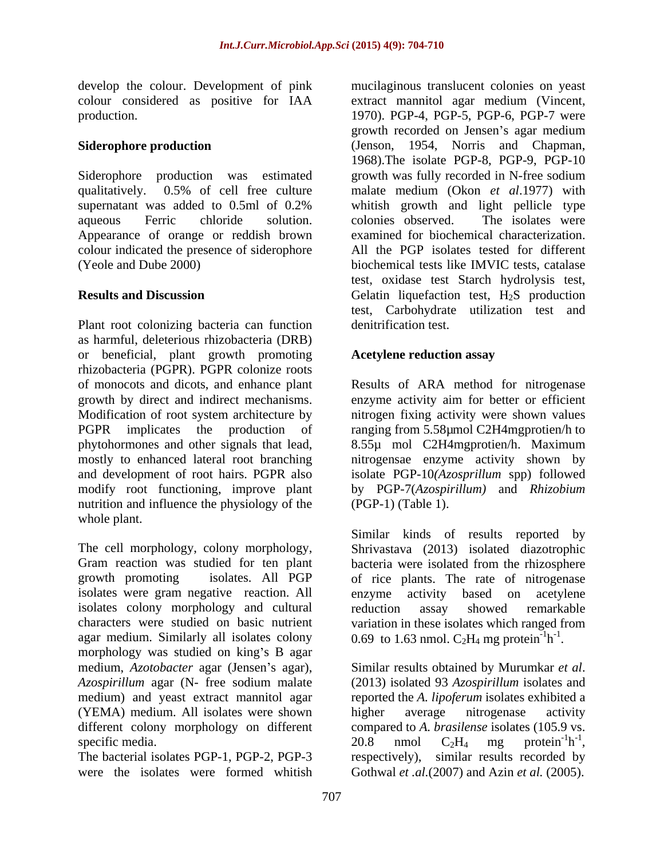develop the colour. Development of pink mucilaginous translucent colonies on yeast

Appearance of orange or reddish brown colour indicated the presence of siderophore

Plant root colonizing bacteria can function as harmful, deleterious rhizobacteria (DRB) or beneficial, plant growth promoting rhizobacteria (PGPR). PGPR colonize roots of monocots and dicots, and enhance plant Results of ARA method for nitrogenase growth by direct and indirect mechanisms. Modification of root system architecture by nitrogen fixing activity were shown values PGPR implicates the production of ranging from 5.58µmol C2H4mgprotien/h to phytohormones and other signals that lead, 8.55µ mol C2H4mgprotien/h. Maximum mostly to enhanced lateral root branching nitrogensae enzyme activity shown by and development of root hairs. PGPR also isolate PGP-10*(Azosprillum* spp) followed modify root functioning, improve plant by PGP-7(*Azospirillum)* and *Rhizobium* nutrition and influence the physiology of the whole plant.

The cell morphology, colony morphology, Shrivastava (2013) isolated diazotrophic Gram reaction was studied for ten plant bacteria were isolated from the rhizosphere growth promoting isolates. All PGP of rice plants. The rate of nitrogenase isolates were gram negative reaction. All enzyme activity based on acetylene isolates colony morphology and cultural characters were studied on basic nutrient variation in these isolates which ranged from agar medium. Similarly all isolates colony morphology was studied on king's B agar medium, *Azotobacter* agar (Jensen's agar), Similar results obtained by Murumkar et al. *Azospirillum* agar (N- free sodium malate medium) and yeast extract mannitol agar reported the *A. lipoferum* isolates exhibited a (YEMA) medium. All isolates were shown higher average nitrogenese activity different colony morphology on different compared to A. brasilense isolates (105.9 vs. specific media.  $20.8$  nmol  $C_2H_4$  mg protein<sup>-1</sup>h<sup>-1</sup>, specific media.  $20.8$  nmol  $C_2H_4$  mg

The bacterial isolates PGP-1, PGP-2, PGP-3 respectively), similar results recorded by

colour considered as positive for IAA extract mannitol agar medium (Vincent, production. 1970). PGP-4, PGP-5, PGP-6, PGP-7 were **Siderophore production** (Jenson, 1954, Norris and Chapman, Siderophore production was estimated growth was fully recorded in N-free sodium qualitatively. 0.5% of cell free culture malate medium (Okon *et al*.1977) with supernatant was added to 0.5ml of 0.2% whitish growth and light pellicle type aqueous Ferric chloride solution. colonies observed. The isolates were (Yeole and Dube 2000) biochemical tests like IMVIC tests, catalase **Results and Discussion Gelatin liquefaction test, H<sub>2</sub>S production** growth recorded on Jensen's agar medium 1968).The isolate PGP-8, PGP-9, PGP-10 whitish growth and light pellicle type colonies observed. The isolates were examined for biochemical characterization. All the PGP isolates tested for different test, oxidase test Starch hydrolysis test, test, Carbohydrate utilization test and denitrification test.

# **Acetylene reduction assay**

enzyme activity aim for better or efficient (PGP-1) (Table 1).

Similar kinds of results reported by enzyme activity based on acetylene reduction assay showed remarkable 0.69 to 1.63 nmol.  $C_2H_4$  mg protein<sup>-1</sup>h<sup>-1</sup>.  $h^{-1}$ . -1 .

were the isolates were formed whitish Gothwal *et .al.*(2007) and Azin *et al.* (2005).Similar results obtained by Murumkar *et al*. (2013) isolated <sup>93</sup>*Azospirillum* isolates and higher average nitrogenase activity compared to *A. brasilense* isolates (105.9 vs. 20.8 nmol  $C_2H_4$  mg protein<sup>-1</sup>h<sup>-1</sup>,  $-1<sub>h</sub> - 1$  $h^{-1}$ , -1 20.8 nmol  $C_2H_4$  mg protein<sup>-1</sup>h<sup>-1</sup>,<br>respectively), similar results recorded by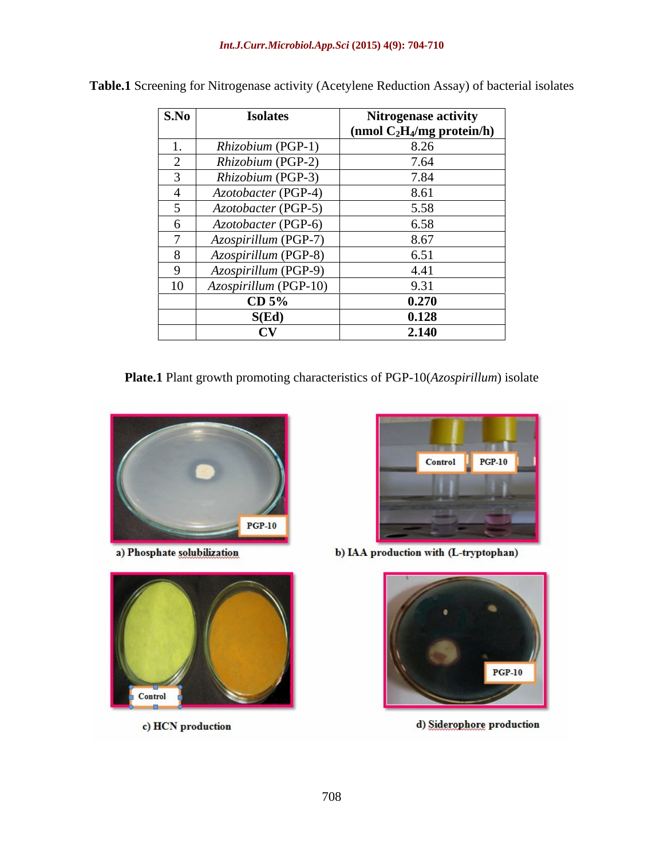| S.No | <b>Isolates</b>       | <b>Nitrogenase activity</b><br>$\frac{1}{2}$ (nmol C <sub>2</sub> H <sub>4</sub> /mg protein/h) |
|------|-----------------------|-------------------------------------------------------------------------------------------------|
|      | Rhizobium (PGP-1)     | 8.26                                                                                            |
|      | Rhizobium (PGP-2)     | 7.64                                                                                            |
|      | Rhizobium (PGP-3)     | 7.84                                                                                            |
|      | Azotobacter (PGP-4)   | 8.61                                                                                            |
|      | Azotobacter (PGP-5)   | 5.58                                                                                            |
|      | Azotobacter (PGP-6)   | 6.58                                                                                            |
|      | Azospirillum (PGP-7)  | 8.67                                                                                            |
|      | Azospirillum (PGP-8)  | 6.51                                                                                            |
|      | Azospirillum (PGP-9)  | 4.41                                                                                            |
|      | Azospirillum (PGP-10) | 9.31                                                                                            |
|      | CD 5%                 | 0.270                                                                                           |
|      | S(Ed)                 | 0.128                                                                                           |
|      | $\alpha$              | 2.140                                                                                           |

**Table.1** Screening for Nitrogenase activity (Acetylene Reduction Assay) of bacterial isolates

**Plate.1** Plant growth promoting characteristics of PGP-10(*Azospirillum*) isolate



a) Phosphate solubilization



c) HCN production



b) IAA production with (L-tryptophan)



d) Siderophore production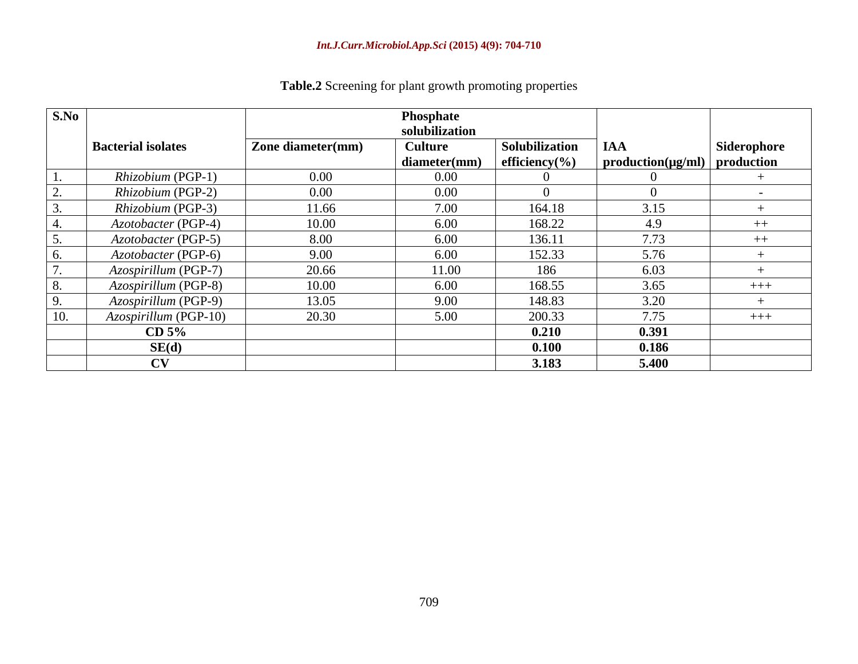| S.No |                            |                          | Phosphate<br>solubilization    |                                             |                                                              |             |
|------|----------------------------|--------------------------|--------------------------------|---------------------------------------------|--------------------------------------------------------------|-------------|
|      | <b>Bacterial isolates</b>  | <b>Zone diameter(mm)</b> | <b>Culture</b><br>diameter(mm) | <b>Solubilization</b><br>efficiency( $\%$ ) | $\overline{A}$<br>$\mid$ production(µg/ml) $\mid$ production | Siderophore |
|      | Rhizobium (PGP-1)          | $0.00\,$                 | $0.00\,$                       |                                             |                                                              |             |
|      | Rhizobium (PGP-2)          | $0.00\,$                 | $0.00\,$                       |                                             |                                                              |             |
|      | Rhizobium (PGP-3)          | 11.66                    | 7.00                           | 164.18                                      | 3.15                                                         |             |
|      | <i>Azotobacter</i> (PGP-4) | 10.00                    | 6.00                           | 168.22                                      | 4.9                                                          | $++$        |
|      | Azotobacter (PGP-5)        | 8.00                     | 6.00                           | 136.11                                      | 7.73                                                         | $++$        |
|      | <i>Azotobacter</i> (PGP-6) | 9.00                     | 6.00                           | 152.33                                      | 5.76                                                         |             |
|      | Azospirillum (PGP-7)       | 20.66                    | 11.00                          | 186                                         | 6.03                                                         |             |
|      | Azospirillum (PGP-8)       | 10.00                    | 6.00                           | 168.55                                      | 3.65                                                         | $+++$       |
|      | Azospirillum (PGP-9)       | 13.05                    | 9.00                           | 148.83                                      | 3.20                                                         |             |
|      | Azospirillum (PGP-10)      | 20.30                    | 5.00                           | 200.33                                      | 7.75                                                         | $- + + +$   |
|      | CD 5%                      |                          |                                | 0.210                                       | 0.391                                                        |             |
|      | SE(d)                      |                          |                                | 0.100                                       | 0.186                                                        |             |
|      | $\mathbf{C}\mathbf{V}$     |                          |                                | 3.183                                       | 5.400                                                        |             |

**Table.2** Screening for plant growth promoting properties